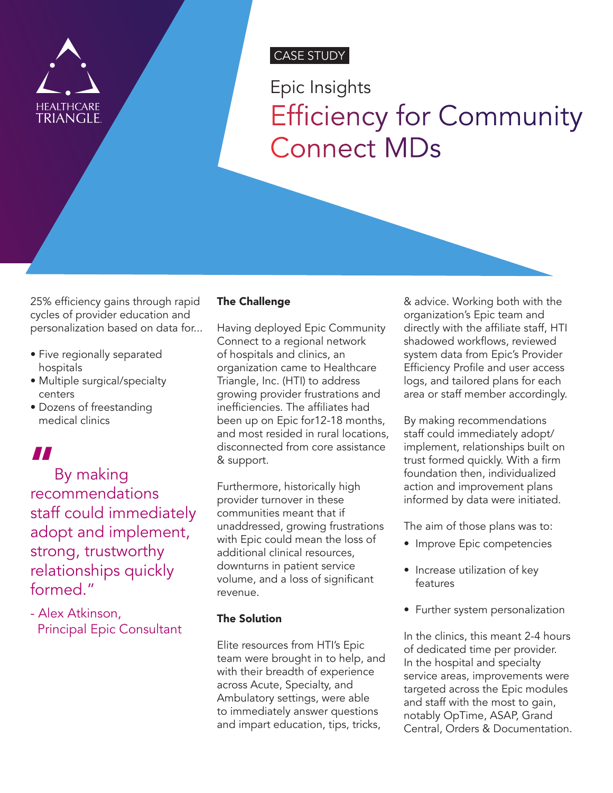

## CASE STUDY

Epic Insights Efficiency for Community Connect MDs

25% efficiency gains through rapid cycles of provider education and personalization based on data for...

- Five regionally separated hospitals
- Multiple surgical/specialty centers
- Dozens of freestanding medical clinics

# "

By making recommendations staff could immediately adopt and implement, strong, trustworthy relationships quickly formed."

- Alex Atkinson, Principal Epic Consultant

## The Challenge

Having deployed Epic Community Connect to a regional network of hospitals and clinics, an organization came to Healthcare Triangle, Inc. (HTI) to address growing provider frustrations and inefficiencies. The affiliates had been up on Epic for12-18 months, and most resided in rural locations, disconnected from core assistance & support.

Furthermore, historically high provider turnover in these communities meant that if unaddressed, growing frustrations with Epic could mean the loss of additional clinical resources, downturns in patient service volume, and a loss of significant revenue.

## The Solution

Elite resources from HTI's Epic team were brought in to help, and with their breadth of experience across Acute, Specialty, and Ambulatory settings, were able to immediately answer questions and impart education, tips, tricks,

& advice. Working both with the organization's Epic team and directly with the affiliate staff, HTI shadowed workflows, reviewed system data from Epic's Provider Efficiency Profile and user access logs, and tailored plans for each area or staff member accordingly.

By making recommendations staff could immediately adopt/ implement, relationships built on trust formed quickly. With a firm foundation then, individualized action and improvement plans informed by data were initiated.

The aim of those plans was to:

- Improve Epic competencies
- Increase utilization of key features
- Further system personalization

In the clinics, this meant 2-4 hours of dedicated time per provider. In the hospital and specialty service areas, improvements were targeted across the Epic modules and staff with the most to gain, notably OpTime, ASAP, Grand Central, Orders & Documentation.